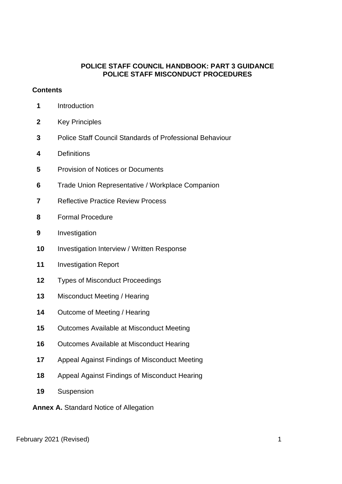### **POLICE STAFF COUNCIL HANDBOOK: PART 3 GUIDANCE POLICE STAFF MISCONDUCT PROCEDURES**

#### **Contents**

- Introduction
- Key Principles
- Police Staff Council Standards of Professional Behaviour
- Definitions
- Provision of Notices or Documents
- Trade Union Representative / Workplace Companion
- Reflective Practice Review Process
- Formal Procedure
- Investigation
- Investigation Interview / Written Response
- Investigation Report
- Types of Misconduct Proceedings
- Misconduct Meeting / Hearing
- Outcome of Meeting / Hearing
- Outcomes Available at Misconduct Meeting
- Outcomes Available at Misconduct Hearing
- Appeal Against Findings of Misconduct Meeting
- Appeal Against Findings of Misconduct Hearing
- Suspension
- **Annex A.** Standard Notice of Allegation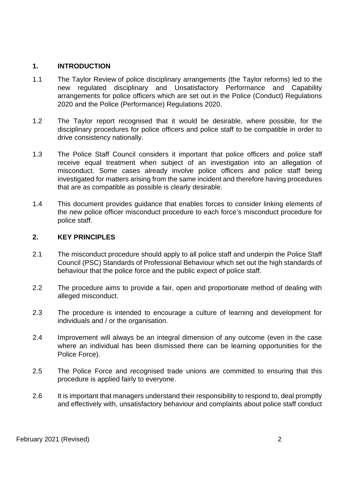#### **1. INTRODUCTION**

- 1.1 The Taylor Review of police disciplinary arrangements (the Taylor reforms) led to the new regulated disciplinary and Unsatisfactory Performance and Capability arrangements for police officers which are set out in the Police (Conduct) Regulations 2020 and the Police (Performance) Regulations 2020.
- 1.2 The Taylor report recognised that it would be desirable, where possible, for the disciplinary procedures for police officers and police staff to be compatible in order to drive consistency nationally.
- 1.3 The Police Staff Council considers it important that police officers and police staff receive equal treatment when subject of an investigation into an allegation of misconduct. Some cases already involve police officers and police staff being investigated for matters arising from the same incident and therefore having procedures that are as compatible as possible is clearly desirable.
- 1.4 This document provides guidance that enables forces to consider linking elements of the new police officer misconduct procedure to each force's misconduct procedure for police staff.

#### **2. KEY PRINCIPLES**

- 2.1 The misconduct procedure should apply to all police staff and underpin the Police Staff Council (PSC) Standards of Professional Behaviour which set out the high standards of behaviour that the police force and the public expect of police staff.
- 2.2 The procedure aims to provide a fair, open and proportionate method of dealing with alleged misconduct.
- 2.3 The procedure is intended to encourage a culture of learning and development for individuals and / or the organisation.
- 2.4 Improvement will always be an integral dimension of any outcome (even in the case where an individual has been dismissed there can be learning opportunities for the Police Force).
- 2.5 The Police Force and recognised trade unions are committed to ensuring that this procedure is applied fairly to everyone.
- 2.6 It is important that managers understand their responsibility to respond to, deal promptly and effectively with, unsatisfactory behaviour and complaints about police staff conduct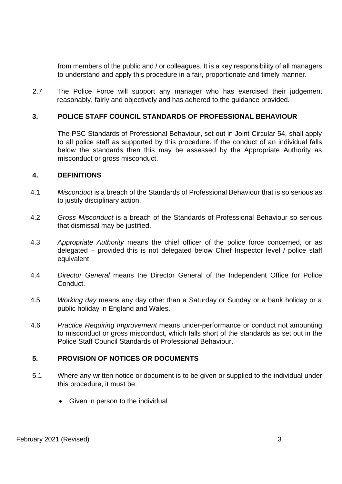from members of the public and / or colleagues. It is a key responsibility of all managers to understand and apply this procedure in a fair, proportionate and timely manner.

2.7 The Police Force will support any manager who has exercised their judgement reasonably, fairly and objectively and has adhered to the guidance provided.

### **3. POLICE STAFF COUNCIL STANDARDS OF PROFESSIONAL BEHAVIOUR**

The PSC Standards of Professional Behaviour, set out in Joint Circular 54, shall apply to all police staff as supported by this procedure. If the conduct of an individual falls below the standards then this may be assessed by the Appropriate Authority as misconduct or gross misconduct.

#### **4. DEFINITIONS**

- 4.1 *Misconduct* is a breach of the Standards of Professional Behaviour that is so serious as to justify disciplinary action.
- 4.2 *Gross Misconduct* is a breach of the Standards of Professional Behaviour so serious that dismissal may be justified.
- 4.3 *Appropriate Authority* means the chief officer of the police force concerned, or as delegated – provided this is not delegated below Chief Inspector level / police staff equivalent.
- 4.4 *Director General* means the Director General of the Independent Office for Police Conduct.
- 4.5 *Working day* means any day other than a Saturday or Sunday or a bank holiday or a public holiday in England and Wales.
- 4.6 *Practice Requiring Improvement* means under-performance or conduct not amounting to misconduct or gross misconduct, which falls short of the standards as set out in the Police Staff Council Standards of Professional Behaviour.

#### **5. PROVISION OF NOTICES OR DOCUMENTS**

- 5.1 Where any written notice or document is to be given or supplied to the individual under this procedure, it must be:
	- Given in person to the individual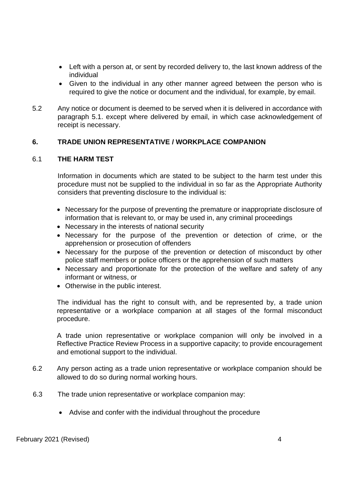- Left with a person at, or sent by recorded delivery to, the last known address of the individual
- Given to the individual in any other manner agreed between the person who is required to give the notice or document and the individual, for example, by email.
- 5.2 Any notice or document is deemed to be served when it is delivered in accordance with paragraph 5.1. except where delivered by email, in which case acknowledgement of receipt is necessary.

#### **6. TRADE UNION REPRESENTATIVE / WORKPLACE COMPANION**

#### 6.1 **THE HARM TEST**

Information in documents which are stated to be subject to the harm test under this procedure must not be supplied to the individual in so far as the Appropriate Authority considers that preventing disclosure to the individual is:

- Necessary for the purpose of preventing the premature or inappropriate disclosure of information that is relevant to, or may be used in, any criminal proceedings
- Necessary in the interests of national security
- Necessary for the purpose of the prevention or detection of crime, or the apprehension or prosecution of offenders
- Necessary for the purpose of the prevention or detection of misconduct by other police staff members or police officers or the apprehension of such matters
- Necessary and proportionate for the protection of the welfare and safety of any informant or witness, or
- Otherwise in the public interest.

The individual has the right to consult with, and be represented by, a trade union representative or a workplace companion at all stages of the formal misconduct procedure.

A trade union representative or workplace companion will only be involved in a Reflective Practice Review Process in a supportive capacity; to provide encouragement and emotional support to the individual.

- 6.2 Any person acting as a trade union representative or workplace companion should be allowed to do so during normal working hours.
- 6.3 The trade union representative or workplace companion may:
	- Advise and confer with the individual throughout the procedure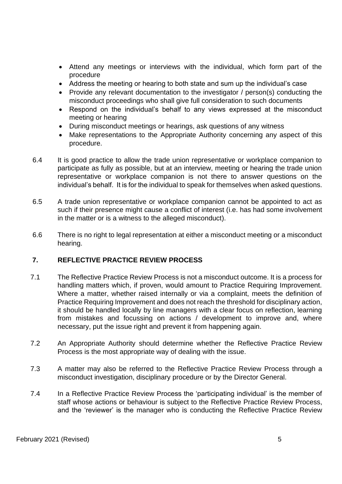- Attend any meetings or interviews with the individual, which form part of the procedure
- Address the meeting or hearing to both state and sum up the individual's case
- Provide any relevant documentation to the investigator / person(s) conducting the misconduct proceedings who shall give full consideration to such documents
- Respond on the individual's behalf to any views expressed at the misconduct meeting or hearing
- During misconduct meetings or hearings, ask questions of any witness
- Make representations to the Appropriate Authority concerning any aspect of this procedure.
- 6.4 It is good practice to allow the trade union representative or workplace companion to participate as fully as possible, but at an interview, meeting or hearing the trade union representative or workplace companion is not there to answer questions on the individual's behalf. It is for the individual to speak for themselves when asked questions.
- 6.5 A trade union representative or workplace companion cannot be appointed to act as such if their presence might cause a conflict of interest (i.e. has had some involvement in the matter or is a witness to the alleged misconduct).
- 6.6 There is no right to legal representation at either a misconduct meeting or a misconduct hearing.

## **7. REFLECTIVE PRACTICE REVIEW PROCESS**

- 7.1 The Reflective Practice Review Process is not a misconduct outcome. It is a process for handling matters which, if proven, would amount to Practice Requiring Improvement. Where a matter, whether raised internally or via a complaint, meets the definition of Practice Requiring Improvement and does not reach the threshold for disciplinary action, it should be handled locally by line managers with a clear focus on reflection, learning from mistakes and focussing on actions / development to improve and, where necessary, put the issue right and prevent it from happening again.
- 7.2 An Appropriate Authority should determine whether the Reflective Practice Review Process is the most appropriate way of dealing with the issue.
- 7.3 A matter may also be referred to the Reflective Practice Review Process through a misconduct investigation, disciplinary procedure or by the Director General.
- 7.4 In a Reflective Practice Review Process the 'participating individual' is the member of staff whose actions or behaviour is subject to the Reflective Practice Review Process, and the 'reviewer' is the manager who is conducting the Reflective Practice Review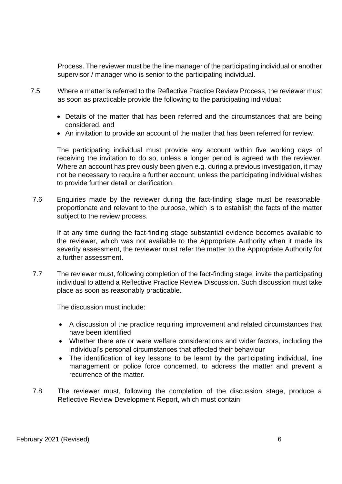Process. The reviewer must be the line manager of the participating individual or another supervisor / manager who is senior to the participating individual.

- 7.5 Where a matter is referred to the Reflective Practice Review Process, the reviewer must as soon as practicable provide the following to the participating individual:
	- Details of the matter that has been referred and the circumstances that are being considered, and
	- An invitation to provide an account of the matter that has been referred for review.

The participating individual must provide any account within five working days of receiving the invitation to do so, unless a longer period is agreed with the reviewer. Where an account has previously been given e.g. during a previous investigation, it may not be necessary to require a further account, unless the participating individual wishes to provide further detail or clarification.

7.6 Enquiries made by the reviewer during the fact-finding stage must be reasonable, proportionate and relevant to the purpose, which is to establish the facts of the matter subject to the review process.

If at any time during the fact-finding stage substantial evidence becomes available to the reviewer, which was not available to the Appropriate Authority when it made its severity assessment, the reviewer must refer the matter to the Appropriate Authority for a further assessment.

7.7 The reviewer must, following completion of the fact-finding stage, invite the participating individual to attend a Reflective Practice Review Discussion. Such discussion must take place as soon as reasonably practicable.

The discussion must include:

- A discussion of the practice requiring improvement and related circumstances that have been identified
- Whether there are or were welfare considerations and wider factors, including the individual's personal circumstances that affected their behaviour
- The identification of key lessons to be learnt by the participating individual, line management or police force concerned, to address the matter and prevent a recurrence of the matter.
- 7.8 The reviewer must, following the completion of the discussion stage, produce a Reflective Review Development Report, which must contain: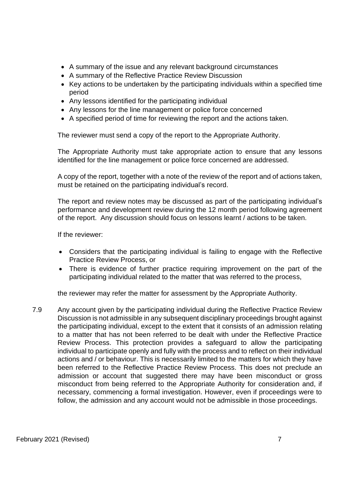- A summary of the issue and any relevant background circumstances
- A summary of the Reflective Practice Review Discussion
- Key actions to be undertaken by the participating individuals within a specified time period
- Any lessons identified for the participating individual
- Any lessons for the line management or police force concerned
- A specified period of time for reviewing the report and the actions taken.

The reviewer must send a copy of the report to the Appropriate Authority.

The Appropriate Authority must take appropriate action to ensure that any lessons identified for the line management or police force concerned are addressed.

A copy of the report, together with a note of the review of the report and of actions taken, must be retained on the participating individual's record.

The report and review notes may be discussed as part of the participating individual's performance and development review during the 12 month period following agreement of the report. Any discussion should focus on lessons learnt / actions to be taken.

If the reviewer:

- Considers that the participating individual is failing to engage with the Reflective Practice Review Process, or
- There is evidence of further practice requiring improvement on the part of the participating individual related to the matter that was referred to the process,

the reviewer may refer the matter for assessment by the Appropriate Authority.

7.9 Any account given by the participating individual during the Reflective Practice Review Discussion is not admissible in any subsequent disciplinary proceedings brought against the participating individual, except to the extent that it consists of an admission relating to a matter that has not been referred to be dealt with under the Reflective Practice Review Process. This protection provides a safeguard to allow the participating individual to participate openly and fully with the process and to reflect on their individual actions and / or behaviour. This is necessarily limited to the matters for which they have been referred to the Reflective Practice Review Process. This does not preclude an admission or account that suggested there may have been misconduct or gross misconduct from being referred to the Appropriate Authority for consideration and, if necessary, commencing a formal investigation. However, even if proceedings were to follow, the admission and any account would not be admissible in those proceedings.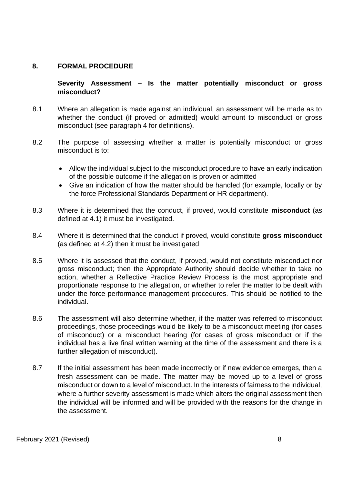#### **8. FORMAL PROCEDURE**

**Severity Assessment – Is the matter potentially misconduct or gross misconduct?** 

- 8.1 Where an allegation is made against an individual, an assessment will be made as to whether the conduct (if proved or admitted) would amount to misconduct or gross misconduct (see paragraph 4 for definitions).
- 8.2 The purpose of assessing whether a matter is potentially misconduct or gross misconduct is to:
	- Allow the individual subject to the misconduct procedure to have an early indication of the possible outcome if the allegation is proven or admitted
	- Give an indication of how the matter should be handled (for example, locally or by the force Professional Standards Department or HR department).
- 8.3 Where it is determined that the conduct, if proved, would constitute **misconduct** (as defined at 4.1) it must be investigated.
- 8.4 Where it is determined that the conduct if proved, would constitute **gross misconduct**  (as defined at 4.2) then it must be investigated
- 8.5 Where it is assessed that the conduct, if proved, would not constitute misconduct nor gross misconduct; then the Appropriate Authority should decide whether to take no action, whether a Reflective Practice Review Process is the most appropriate and proportionate response to the allegation, or whether to refer the matter to be dealt with under the force performance management procedures. This should be notified to the individual.
- 8.6 The assessment will also determine whether, if the matter was referred to misconduct proceedings, those proceedings would be likely to be a misconduct meeting (for cases of misconduct) or a misconduct hearing (for cases of gross misconduct or if the individual has a live final written warning at the time of the assessment and there is a further allegation of misconduct).
- 8.7 If the initial assessment has been made incorrectly or if new evidence emerges, then a fresh assessment can be made. The matter may be moved up to a level of gross misconduct or down to a level of misconduct. In the interests of fairness to the individual, where a further severity assessment is made which alters the original assessment then the individual will be informed and will be provided with the reasons for the change in the assessment.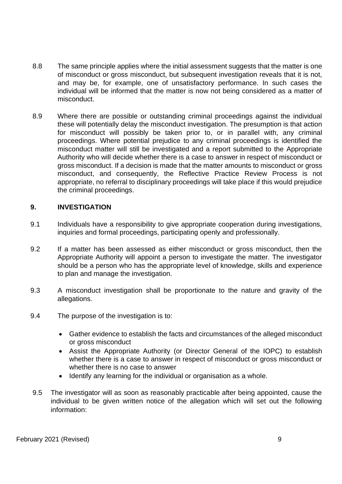- 8.8 The same principle applies where the initial assessment suggests that the matter is one of misconduct or gross misconduct, but subsequent investigation reveals that it is not, and may be, for example, one of unsatisfactory performance. In such cases the individual will be informed that the matter is now not being considered as a matter of misconduct.
- 8.9 Where there are possible or outstanding criminal proceedings against the individual these will potentially delay the misconduct investigation. The presumption is that action for misconduct will possibly be taken prior to, or in parallel with, any criminal proceedings. Where potential prejudice to any criminal proceedings is identified the misconduct matter will still be investigated and a report submitted to the Appropriate Authority who will decide whether there is a case to answer in respect of misconduct or gross misconduct. If a decision is made that the matter amounts to misconduct or gross misconduct, and consequently, the Reflective Practice Review Process is not appropriate, no referral to disciplinary proceedings will take place if this would prejudice the criminal proceedings.

#### **9. INVESTIGATION**

- 9.1 Individuals have a responsibility to give appropriate cooperation during investigations, inquiries and formal proceedings, participating openly and professionally.
- 9.2 If a matter has been assessed as either misconduct or gross misconduct, then the Appropriate Authority will appoint a person to investigate the matter. The investigator should be a person who has the appropriate level of knowledge, skills and experience to plan and manage the investigation.
- 9.3 A misconduct investigation shall be proportionate to the nature and gravity of the allegations.
- 9.4 The purpose of the investigation is to:
	- Gather evidence to establish the facts and circumstances of the alleged misconduct or gross misconduct
	- Assist the Appropriate Authority (or Director General of the IOPC) to establish whether there is a case to answer in respect of misconduct or gross misconduct or whether there is no case to answer
	- Identify any learning for the individual or organisation as a whole.
- 9.5 The investigator will as soon as reasonably practicable after being appointed, cause the individual to be given written notice of the allegation which will set out the following information: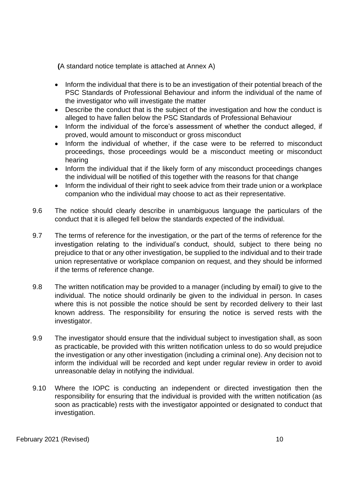**(**A standard notice template is attached at Annex A)

- Inform the individual that there is to be an investigation of their potential breach of the PSC Standards of Professional Behaviour and inform the individual of the name of the investigator who will investigate the matter
- Describe the conduct that is the subject of the investigation and how the conduct is alleged to have fallen below the PSC Standards of Professional Behaviour
- Inform the individual of the force's assessment of whether the conduct alleged, if proved, would amount to misconduct or gross misconduct
- Inform the individual of whether, if the case were to be referred to misconduct proceedings, those proceedings would be a misconduct meeting or misconduct hearing
- Inform the individual that if the likely form of any misconduct proceedings changes the individual will be notified of this together with the reasons for that change
- Inform the individual of their right to seek advice from their trade union or a workplace companion who the individual may choose to act as their representative.
- 9.6 The notice should clearly describe in unambiguous language the particulars of the conduct that it is alleged fell below the standards expected of the individual.
- 9.7 The terms of reference for the investigation, or the part of the terms of reference for the investigation relating to the individual's conduct, should, subject to there being no prejudice to that or any other investigation, be supplied to the individual and to their trade union representative or workplace companion on request, and they should be informed if the terms of reference change.
- 9.8 The written notification may be provided to a manager (including by email) to give to the individual. The notice should ordinarily be given to the individual in person. In cases where this is not possible the notice should be sent by recorded delivery to their last known address. The responsibility for ensuring the notice is served rests with the investigator.
- 9.9 The investigator should ensure that the individual subject to investigation shall, as soon as practicable, be provided with this written notification unless to do so would prejudice the investigation or any other investigation (including a criminal one). Any decision not to inform the individual will be recorded and kept under regular review in order to avoid unreasonable delay in notifying the individual.
- 9.10 Where the IOPC is conducting an independent or directed investigation then the responsibility for ensuring that the individual is provided with the written notification (as soon as practicable) rests with the investigator appointed or designated to conduct that investigation.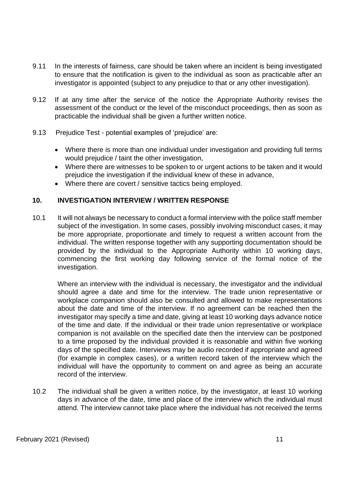- 9.11 In the interests of fairness, care should be taken where an incident is being investigated to ensure that the notification is given to the individual as soon as practicable after an investigator is appointed (subject to any prejudice to that or any other investigation).
- 9.12 If at any time after the service of the notice the Appropriate Authority revises the assessment of the conduct or the level of the misconduct proceedings, then as soon as practicable the individual shall be given a further written notice.
- 9.13 Prejudice Test potential examples of 'prejudice' are:
	- Where there is more than one individual under investigation and providing full terms would prejudice / taint the other investigation,
	- Where there are witnesses to be spoken to or urgent actions to be taken and it would prejudice the investigation if the individual knew of these in advance,
	- Where there are covert / sensitive tactics being employed.

#### **10. INVESTIGATION INTERVIEW / WRITTEN RESPONSE**

10.1 It will not always be necessary to conduct a formal interview with the police staff member subject of the investigation. In some cases, possibly involving misconduct cases, it may be more appropriate, proportionate and timely to request a written account from the individual. The written response together with any supporting documentation should be provided by the individual to the Appropriate Authority within 10 working days, commencing the first working day following service of the formal notice of the investigation.

Where an interview with the individual is necessary, the investigator and the individual should agree a date and time for the interview. The trade union representative or workplace companion should also be consulted and allowed to make representations about the date and time of the interview. If no agreement can be reached then the investigator may specify a time and date, giving at least 10 working days advance notice of the time and date. If the individual or their trade union representative or workplace companion is not available on the specified date then the interview can be postponed to a time proposed by the individual provided it is reasonable and within five working days of the specified date. Interviews may be audio recorded if appropriate and agreed (for example in complex cases), or a written record taken of the interview which the individual will have the opportunity to comment on and agree as being an accurate record of the interview.

10.2 The individual shall be given a written notice, by the investigator, at least 10 working days in advance of the date, time and place of the interview which the individual must attend. The interview cannot take place where the individual has not received the terms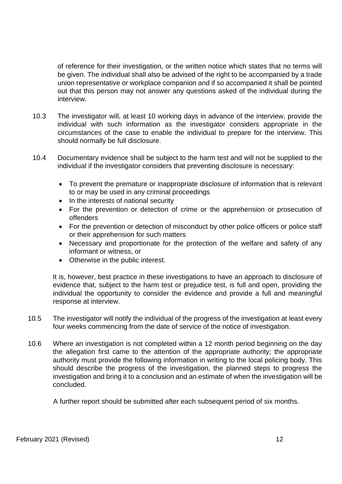of reference for their investigation, or the written notice which states that no terms will be given. The individual shall also be advised of the right to be accompanied by a trade union representative or workplace companion and if so accompanied it shall be pointed out that this person may not answer any questions asked of the individual during the interview.

- 10.3 The investigator will, at least 10 working days in advance of the interview, provide the individual with such information as the investigator considers appropriate in the circumstances of the case to enable the individual to prepare for the interview. This should normally be full disclosure.
- 10.4 Documentary evidence shall be subject to the harm test and will not be supplied to the individual if the investigator considers that preventing disclosure is necessary:
	- To prevent the premature or inappropriate disclosure of information that is relevant to or may be used in any criminal proceedings
	- In the interests of national security
	- For the prevention or detection of crime or the apprehension or prosecution of offenders
	- For the prevention or detection of misconduct by other police officers or police staff or their apprehension for such matters
	- Necessary and proportionate for the protection of the welfare and safety of any informant or witness, or
	- Otherwise in the public interest.

It is, however, best practice in these investigations to have an approach to disclosure of evidence that, subject to the harm test or prejudice test, is full and open, providing the individual the opportunity to consider the evidence and provide a full and meaningful response at interview.

- 10.5 The investigator will notify the individual of the progress of the investigation at least every four weeks commencing from the date of service of the notice of investigation.
- 10.6 Where an investigation is not completed within a 12 month period beginning on the day the allegation first came to the attention of the appropriate authority; the appropriate authority must provide the following information in writing to the local policing body. This should describe the progress of the investigation, the planned steps to progress the investigation and bring it to a conclusion and an estimate of when the investigation will be concluded.

A further report should be submitted after each subsequent period of six months.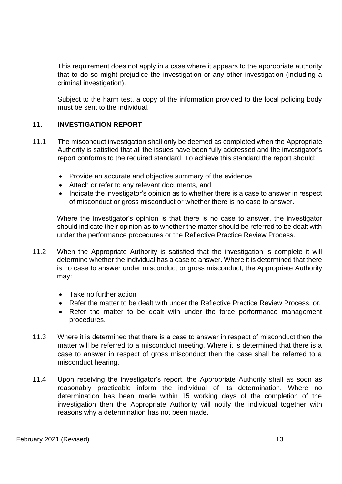This requirement does not apply in a case where it appears to the appropriate authority that to do so might prejudice the investigation or any other investigation (including a criminal investigation).

Subject to the harm test, a copy of the information provided to the local policing body must be sent to the individual.

# **11. INVESTIGATION REPORT**

- 11.1 The misconduct investigation shall only be deemed as completed when the Appropriate Authority is satisfied that all the issues have been fully addressed and the investigator's report conforms to the required standard. To achieve this standard the report should:
	- Provide an accurate and objective summary of the evidence
	- Attach or refer to any relevant documents, and
	- Indicate the investigator's opinion as to whether there is a case to answer in respect of misconduct or gross misconduct or whether there is no case to answer.

Where the investigator's opinion is that there is no case to answer, the investigator should indicate their opinion as to whether the matter should be referred to be dealt with under the performance procedures or the Reflective Practice Review Process.

- 11.2 When the Appropriate Authority is satisfied that the investigation is complete it will determine whether the individual has a case to answer. Where it is determined that there is no case to answer under misconduct or gross misconduct, the Appropriate Authority may:
	- Take no further action
	- Refer the matter to be dealt with under the Reflective Practice Review Process, or,
	- Refer the matter to be dealt with under the force performance management procedures.
- 11.3 Where it is determined that there is a case to answer in respect of misconduct then the matter will be referred to a misconduct meeting. Where it is determined that there is a case to answer in respect of gross misconduct then the case shall be referred to a misconduct hearing.
- 11.4 Upon receiving the investigator's report, the Appropriate Authority shall as soon as reasonably practicable inform the individual of its determination. Where no determination has been made within 15 working days of the completion of the investigation then the Appropriate Authority will notify the individual together with reasons why a determination has not been made.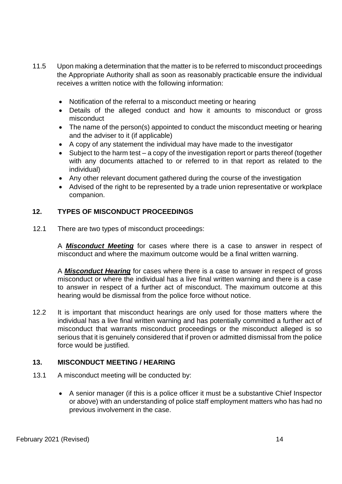- 11.5 Upon making a determination that the matter is to be referred to misconduct proceedings the Appropriate Authority shall as soon as reasonably practicable ensure the individual receives a written notice with the following information:
	- Notification of the referral to a misconduct meeting or hearing
	- Details of the alleged conduct and how it amounts to misconduct or gross misconduct
	- The name of the person(s) appointed to conduct the misconduct meeting or hearing and the adviser to it (if applicable)
	- A copy of any statement the individual may have made to the investigator
	- Subject to the harm test a copy of the investigation report or parts thereof (together with any documents attached to or referred to in that report as related to the individual)
	- Any other relevant document gathered during the course of the investigation
	- Advised of the right to be represented by a trade union representative or workplace companion.

# **12. TYPES OF MISCONDUCT PROCEEDINGS**

12.1 There are two types of misconduct proceedings:

A *Misconduct Meeting* for cases where there is a case to answer in respect of misconduct and where the maximum outcome would be a final written warning.

A *Misconduct Hearing* for cases where there is a case to answer in respect of gross misconduct or where the individual has a live final written warning and there is a case to answer in respect of a further act of misconduct. The maximum outcome at this hearing would be dismissal from the police force without notice.

12.2 It is important that misconduct hearings are only used for those matters where the individual has a live final written warning and has potentially committed a further act of misconduct that warrants misconduct proceedings or the misconduct alleged is so serious that it is genuinely considered that if proven or admitted dismissal from the police force would be justified.

## **13. MISCONDUCT MEETING / HEARING**

- 13.1 A misconduct meeting will be conducted by:
	- A senior manager (if this is a police officer it must be a substantive Chief Inspector or above) with an understanding of police staff employment matters who has had no previous involvement in the case.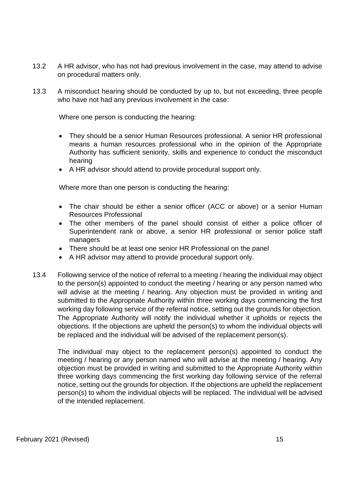- 13.2 A HR advisor, who has not had previous involvement in the case, may attend to advise on procedural matters only.
- 13.3 A misconduct hearing should be conducted by up to, but not exceeding, three people who have not had any previous involvement in the case:

Where one person is conducting the hearing:

- They should be a senior Human Resources professional. A senior HR professional means a human resources professional who in the opinion of the Appropriate Authority has sufficient seniority, skills and experience to conduct the misconduct hearing
- A HR advisor should attend to provide procedural support only.

Where more than one person is conducting the hearing:

- The chair should be either a senior officer (ACC or above) or a senior Human Resources Professional
- The other members of the panel should consist of either a police officer of Superintendent rank or above, a senior HR professional or senior police staff managers
- There should be at least one senior HR Professional on the panel
- A HR advisor may attend to provide procedural support only.
- 13.4 Following service of the notice of referral to a meeting / hearing the individual may object to the person(s) appointed to conduct the meeting / hearing or any person named who will advise at the meeting / hearing. Any objection must be provided in writing and submitted to the Appropriate Authority within three working days commencing the first working day following service of the referral notice, setting out the grounds for objection. The Appropriate Authority will notify the individual whether it upholds or rejects the objections. If the objections are upheld the person(s) to whom the individual objects will be replaced and the individual will be advised of the replacement person(s).

The individual may object to the replacement person(s) appointed to conduct the meeting / hearing or any person named who will advise at the meeting / hearing. Any objection must be provided in writing and submitted to the Appropriate Authority within three working days commencing the first working day following service of the referral notice, setting out the grounds for objection. If the objections are upheld the replacement person(s) to whom the individual objects will be replaced. The individual will be advised of the intended replacement.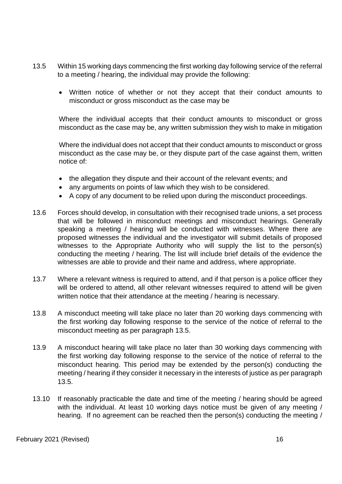- 13.5 Within 15 working days commencing the first working day following service of the referral to a meeting / hearing, the individual may provide the following:
	- Written notice of whether or not they accept that their conduct amounts to misconduct or gross misconduct as the case may be

Where the individual accepts that their conduct amounts to misconduct or gross misconduct as the case may be, any written submission they wish to make in mitigation

Where the individual does not accept that their conduct amounts to misconduct or gross misconduct as the case may be, or they dispute part of the case against them, written notice of:

- the allegation they dispute and their account of the relevant events; and
- any arguments on points of law which they wish to be considered.
- A copy of any document to be relied upon during the misconduct proceedings.
- 13.6 Forces should develop, in consultation with their recognised trade unions, a set process that will be followed in misconduct meetings and misconduct hearings. Generally speaking a meeting / hearing will be conducted with witnesses. Where there are proposed witnesses the individual and the investigator will submit details of proposed witnesses to the Appropriate Authority who will supply the list to the person(s) conducting the meeting / hearing. The list will include brief details of the evidence the witnesses are able to provide and their name and address, where appropriate.
- 13.7 Where a relevant witness is required to attend, and if that person is a police officer they will be ordered to attend, all other relevant witnesses required to attend will be given written notice that their attendance at the meeting / hearing is necessary.
- 13.8 A misconduct meeting will take place no later than 20 working days commencing with the first working day following response to the service of the notice of referral to the misconduct meeting as per paragraph 13.5.
- 13.9 A misconduct hearing will take place no later than 30 working days commencing with the first working day following response to the service of the notice of referral to the misconduct hearing. This period may be extended by the person(s) conducting the meeting / hearing if they consider it necessary in the interests of justice as per paragraph 13.5.
- 13.10 If reasonably practicable the date and time of the meeting / hearing should be agreed with the individual. At least 10 working days notice must be given of any meeting / hearing. If no agreement can be reached then the person(s) conducting the meeting /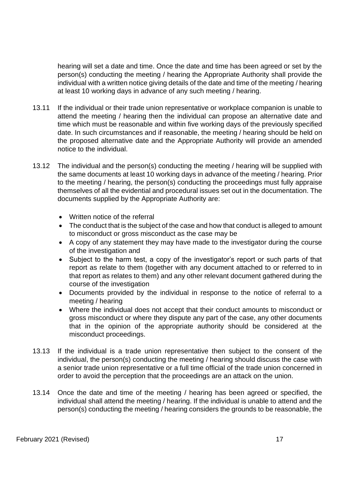hearing will set a date and time. Once the date and time has been agreed or set by the person(s) conducting the meeting / hearing the Appropriate Authority shall provide the individual with a written notice giving details of the date and time of the meeting / hearing at least 10 working days in advance of any such meeting / hearing.

- 13.11 If the individual or their trade union representative or workplace companion is unable to attend the meeting / hearing then the individual can propose an alternative date and time which must be reasonable and within five working days of the previously specified date. In such circumstances and if reasonable, the meeting / hearing should be held on the proposed alternative date and the Appropriate Authority will provide an amended notice to the individual.
- 13.12 The individual and the person(s) conducting the meeting / hearing will be supplied with the same documents at least 10 working days in advance of the meeting / hearing. Prior to the meeting / hearing, the person(s) conducting the proceedings must fully appraise themselves of all the evidential and procedural issues set out in the documentation. The documents supplied by the Appropriate Authority are:
	- Written notice of the referral
	- The conduct that is the subject of the case and how that conduct is alleged to amount to misconduct or gross misconduct as the case may be
	- A copy of any statement they may have made to the investigator during the course of the investigation and
	- Subject to the harm test, a copy of the investigator's report or such parts of that report as relate to them (together with any document attached to or referred to in that report as relates to them) and any other relevant document gathered during the course of the investigation
	- Documents provided by the individual in response to the notice of referral to a meeting / hearing
	- Where the individual does not accept that their conduct amounts to misconduct or gross misconduct or where they dispute any part of the case, any other documents that in the opinion of the appropriate authority should be considered at the misconduct proceedings.
- 13.13 If the individual is a trade union representative then subject to the consent of the individual, the person(s) conducting the meeting / hearing should discuss the case with a senior trade union representative or a full time official of the trade union concerned in order to avoid the perception that the proceedings are an attack on the union.
- 13.14 Once the date and time of the meeting / hearing has been agreed or specified, the individual shall attend the meeting / hearing. If the individual is unable to attend and the person(s) conducting the meeting / hearing considers the grounds to be reasonable, the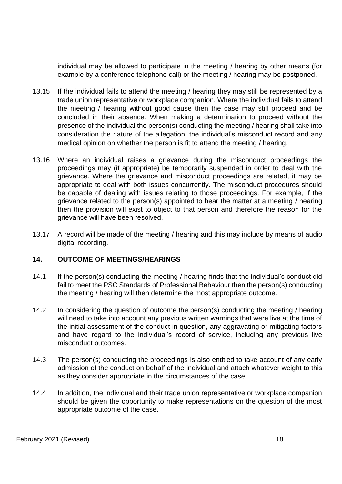individual may be allowed to participate in the meeting / hearing by other means (for example by a conference telephone call) or the meeting / hearing may be postponed.

- 13.15 If the individual fails to attend the meeting / hearing they may still be represented by a trade union representative or workplace companion. Where the individual fails to attend the meeting / hearing without good cause then the case may still proceed and be concluded in their absence. When making a determination to proceed without the presence of the individual the person(s) conducting the meeting / hearing shall take into consideration the nature of the allegation, the individual's misconduct record and any medical opinion on whether the person is fit to attend the meeting / hearing.
- 13.16 Where an individual raises a grievance during the misconduct proceedings the proceedings may (if appropriate) be temporarily suspended in order to deal with the grievance. Where the grievance and misconduct proceedings are related, it may be appropriate to deal with both issues concurrently. The misconduct procedures should be capable of dealing with issues relating to those proceedings. For example, if the grievance related to the person(s) appointed to hear the matter at a meeting / hearing then the provision will exist to object to that person and therefore the reason for the grievance will have been resolved.
- 13.17 A record will be made of the meeting / hearing and this may include by means of audio digital recording.

## **14. OUTCOME OF MEETINGS/HEARINGS**

- 14.1 If the person(s) conducting the meeting / hearing finds that the individual's conduct did fail to meet the PSC Standards of Professional Behaviour then the person(s) conducting the meeting / hearing will then determine the most appropriate outcome.
- 14.2 In considering the question of outcome the person(s) conducting the meeting / hearing will need to take into account any previous written warnings that were live at the time of the initial assessment of the conduct in question, any aggravating or mitigating factors and have regard to the individual's record of service, including any previous live misconduct outcomes.
- 14.3 The person(s) conducting the proceedings is also entitled to take account of any early admission of the conduct on behalf of the individual and attach whatever weight to this as they consider appropriate in the circumstances of the case.
- 14.4 In addition, the individual and their trade union representative or workplace companion should be given the opportunity to make representations on the question of the most appropriate outcome of the case.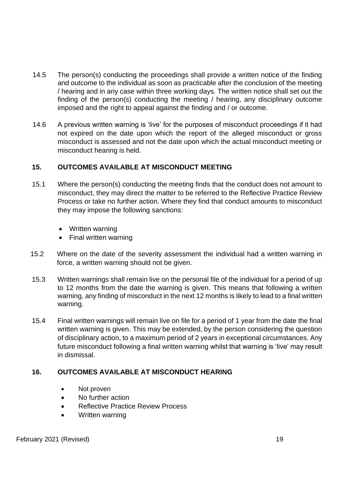- 14.5 The person(s) conducting the proceedings shall provide a written notice of the finding and outcome to the individual as soon as practicable after the conclusion of the meeting / hearing and in any case within three working days. The written notice shall set out the finding of the person(s) conducting the meeting / hearing, any disciplinary outcome imposed and the right to appeal against the finding and / or outcome.
- 14.6 A previous written warning is 'live' for the purposes of misconduct proceedings if it had not expired on the date upon which the report of the alleged misconduct or gross misconduct is assessed and not the date upon which the actual misconduct meeting or misconduct hearing is held.

## **15. OUTCOMES AVAILABLE AT MISCONDUCT MEETING**

- 15.1 Where the person(s) conducting the meeting finds that the conduct does not amount to misconduct, they may direct the matter to be referred to the Reflective Practice Review Process or take no further action. Where they find that conduct amounts to misconduct they may impose the following sanctions:
	- Written warning
	- Final written warning
- 15.2 Where on the date of the severity assessment the individual had a written warning in force, a written warning should not be given.
- 15.3 Written warnings shall remain live on the personal file of the individual for a period of up to 12 months from the date the warning is given. This means that following a written warning, any finding of misconduct in the next 12 months is likely to lead to a final written warning.
- 15.4 Final written warnings will remain live on file for a period of 1 year from the date the final written warning is given. This may be extended, by the person considering the question of disciplinary action, to a maximum period of 2 years in exceptional circumstances. Any future misconduct following a final written warning whilst that warning is 'live' may result in dismissal.

#### **16. OUTCOMES AVAILABLE AT MISCONDUCT HEARING**

- Not proven
- No further action
- Reflective Practice Review Process
- Written warning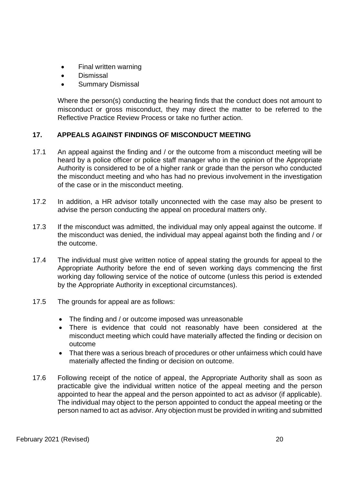- Final written warning
- Dismissal
- Summary Dismissal

Where the person(s) conducting the hearing finds that the conduct does not amount to misconduct or gross misconduct, they may direct the matter to be referred to the Reflective Practice Review Process or take no further action.

# **17. APPEALS AGAINST FINDINGS OF MISCONDUCT MEETING**

- 17.1 An appeal against the finding and / or the outcome from a misconduct meeting will be heard by a police officer or police staff manager who in the opinion of the Appropriate Authority is considered to be of a higher rank or grade than the person who conducted the misconduct meeting and who has had no previous involvement in the investigation of the case or in the misconduct meeting.
- 17.2 In addition, a HR advisor totally unconnected with the case may also be present to advise the person conducting the appeal on procedural matters only.
- 17.3 If the misconduct was admitted, the individual may only appeal against the outcome. If the misconduct was denied, the individual may appeal against both the finding and / or the outcome.
- 17.4 The individual must give written notice of appeal stating the grounds for appeal to the Appropriate Authority before the end of seven working days commencing the first working day following service of the notice of outcome (unless this period is extended by the Appropriate Authority in exceptional circumstances).
- 17.5 The grounds for appeal are as follows:
	- The finding and / or outcome imposed was unreasonable
	- There is evidence that could not reasonably have been considered at the misconduct meeting which could have materially affected the finding or decision on outcome
	- That there was a serious breach of procedures or other unfairness which could have materially affected the finding or decision on outcome.
- 17.6 Following receipt of the notice of appeal, the Appropriate Authority shall as soon as practicable give the individual written notice of the appeal meeting and the person appointed to hear the appeal and the person appointed to act as advisor (if applicable). The individual may object to the person appointed to conduct the appeal meeting or the person named to act as advisor. Any objection must be provided in writing and submitted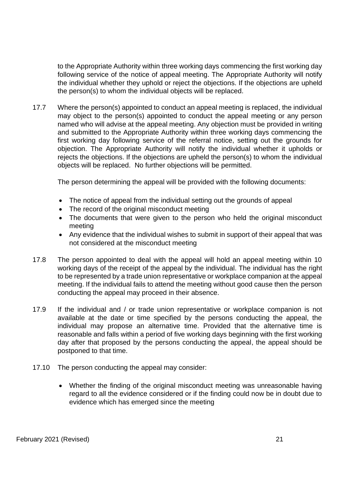to the Appropriate Authority within three working days commencing the first working day following service of the notice of appeal meeting. The Appropriate Authority will notify the individual whether they uphold or reject the objections. If the objections are upheld the person(s) to whom the individual objects will be replaced.

17.7 Where the person(s) appointed to conduct an appeal meeting is replaced, the individual may object to the person(s) appointed to conduct the appeal meeting or any person named who will advise at the appeal meeting. Any objection must be provided in writing and submitted to the Appropriate Authority within three working days commencing the first working day following service of the referral notice, setting out the grounds for objection. The Appropriate Authority will notify the individual whether it upholds or rejects the objections. If the objections are upheld the person(s) to whom the individual objects will be replaced. No further objections will be permitted.

The person determining the appeal will be provided with the following documents:

- The notice of appeal from the individual setting out the grounds of appeal
- The record of the original misconduct meeting
- The documents that were given to the person who held the original misconduct meeting
- Any evidence that the individual wishes to submit in support of their appeal that was not considered at the misconduct meeting
- 17.8 The person appointed to deal with the appeal will hold an appeal meeting within 10 working days of the receipt of the appeal by the individual. The individual has the right to be represented by a trade union representative or workplace companion at the appeal meeting. If the individual fails to attend the meeting without good cause then the person conducting the appeal may proceed in their absence.
- 17.9 If the individual and / or trade union representative or workplace companion is not available at the date or time specified by the persons conducting the appeal, the individual may propose an alternative time. Provided that the alternative time is reasonable and falls within a period of five working days beginning with the first working day after that proposed by the persons conducting the appeal, the appeal should be postponed to that time.
- 17.10 The person conducting the appeal may consider:
	- Whether the finding of the original misconduct meeting was unreasonable having regard to all the evidence considered or if the finding could now be in doubt due to evidence which has emerged since the meeting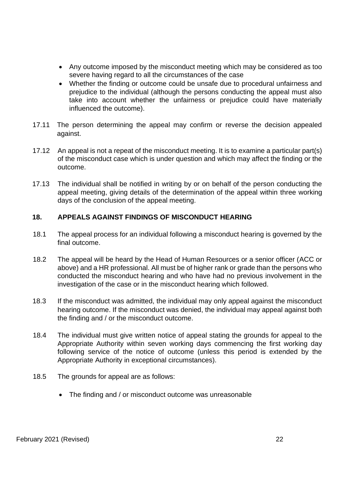- Any outcome imposed by the misconduct meeting which may be considered as too severe having regard to all the circumstances of the case
- Whether the finding or outcome could be unsafe due to procedural unfairness and prejudice to the individual (although the persons conducting the appeal must also take into account whether the unfairness or prejudice could have materially influenced the outcome).
- 17.11 The person determining the appeal may confirm or reverse the decision appealed against.
- 17.12 An appeal is not a repeat of the misconduct meeting. It is to examine a particular part(s) of the misconduct case which is under question and which may affect the finding or the outcome.
- 17.13 The individual shall be notified in writing by or on behalf of the person conducting the appeal meeting, giving details of the determination of the appeal within three working days of the conclusion of the appeal meeting.

## **18. APPEALS AGAINST FINDINGS OF MISCONDUCT HEARING**

- 18.1 The appeal process for an individual following a misconduct hearing is governed by the final outcome.
- 18.2 The appeal will be heard by the Head of Human Resources or a senior officer (ACC or above) and a HR professional. All must be of higher rank or grade than the persons who conducted the misconduct hearing and who have had no previous involvement in the investigation of the case or in the misconduct hearing which followed.
- 18.3 If the misconduct was admitted, the individual may only appeal against the misconduct hearing outcome. If the misconduct was denied, the individual may appeal against both the finding and / or the misconduct outcome.
- 18.4 The individual must give written notice of appeal stating the grounds for appeal to the Appropriate Authority within seven working days commencing the first working day following service of the notice of outcome (unless this period is extended by the Appropriate Authority in exceptional circumstances).
- 18.5 The grounds for appeal are as follows:
	- The finding and / or misconduct outcome was unreasonable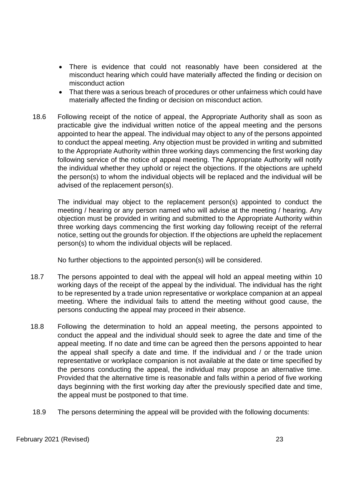- There is evidence that could not reasonably have been considered at the misconduct hearing which could have materially affected the finding or decision on misconduct action
- That there was a serious breach of procedures or other unfairness which could have materially affected the finding or decision on misconduct action.
- 18.6 Following receipt of the notice of appeal, the Appropriate Authority shall as soon as practicable give the individual written notice of the appeal meeting and the persons appointed to hear the appeal. The individual may object to any of the persons appointed to conduct the appeal meeting. Any objection must be provided in writing and submitted to the Appropriate Authority within three working days commencing the first working day following service of the notice of appeal meeting. The Appropriate Authority will notify the individual whether they uphold or reject the objections. If the objections are upheld the person(s) to whom the individual objects will be replaced and the individual will be advised of the replacement person(s).

The individual may object to the replacement person(s) appointed to conduct the meeting / hearing or any person named who will advise at the meeting / hearing. Any objection must be provided in writing and submitted to the Appropriate Authority within three working days commencing the first working day following receipt of the referral notice, setting out the grounds for objection. If the objections are upheld the replacement person(s) to whom the individual objects will be replaced.

No further objections to the appointed person(s) will be considered.

- 18.7 The persons appointed to deal with the appeal will hold an appeal meeting within 10 working days of the receipt of the appeal by the individual. The individual has the right to be represented by a trade union representative or workplace companion at an appeal meeting. Where the individual fails to attend the meeting without good cause, the persons conducting the appeal may proceed in their absence.
- 18.8 Following the determination to hold an appeal meeting, the persons appointed to conduct the appeal and the individual should seek to agree the date and time of the appeal meeting. If no date and time can be agreed then the persons appointed to hear the appeal shall specify a date and time. If the individual and / or the trade union representative or workplace companion is not available at the date or time specified by the persons conducting the appeal, the individual may propose an alternative time. Provided that the alternative time is reasonable and falls within a period of five working days beginning with the first working day after the previously specified date and time, the appeal must be postponed to that time.
- 18.9 The persons determining the appeal will be provided with the following documents: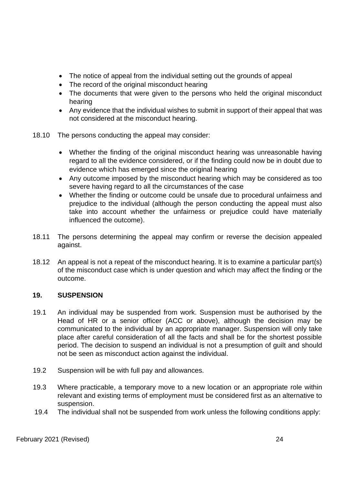- The notice of appeal from the individual setting out the grounds of appeal
- The record of the original misconduct hearing
- The documents that were given to the persons who held the original misconduct hearing
- Any evidence that the individual wishes to submit in support of their appeal that was not considered at the misconduct hearing.
- 18.10 The persons conducting the appeal may consider:
	- Whether the finding of the original misconduct hearing was unreasonable having regard to all the evidence considered, or if the finding could now be in doubt due to evidence which has emerged since the original hearing
	- Any outcome imposed by the misconduct hearing which may be considered as too severe having regard to all the circumstances of the case
	- Whether the finding or outcome could be unsafe due to procedural unfairness and prejudice to the individual (although the person conducting the appeal must also take into account whether the unfairness or prejudice could have materially influenced the outcome).
- 18.11 The persons determining the appeal may confirm or reverse the decision appealed against.
- 18.12 An appeal is not a repeat of the misconduct hearing. It is to examine a particular part(s) of the misconduct case which is under question and which may affect the finding or the outcome.

## **19. SUSPENSION**

- 19.1 An individual may be suspended from work. Suspension must be authorised by the Head of HR or a senior officer (ACC or above), although the decision may be communicated to the individual by an appropriate manager. Suspension will only take place after careful consideration of all the facts and shall be for the shortest possible period. The decision to suspend an individual is not a presumption of guilt and should not be seen as misconduct action against the individual.
- 19.2 Suspension will be with full pay and allowances.
- 19.3 Where practicable, a temporary move to a new location or an appropriate role within relevant and existing terms of employment must be considered first as an alternative to suspension.
- 19.4 The individual shall not be suspended from work unless the following conditions apply: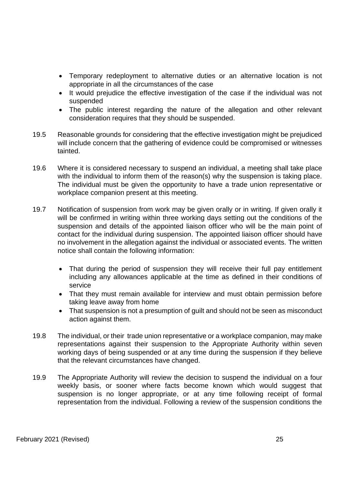- Temporary redeployment to alternative duties or an alternative location is not appropriate in all the circumstances of the case
- It would prejudice the effective investigation of the case if the individual was not suspended
- The public interest regarding the nature of the allegation and other relevant consideration requires that they should be suspended.
- 19.5 Reasonable grounds for considering that the effective investigation might be prejudiced will include concern that the gathering of evidence could be compromised or witnesses tainted.
- 19.6 Where it is considered necessary to suspend an individual, a meeting shall take place with the individual to inform them of the reason(s) why the suspension is taking place. The individual must be given the opportunity to have a trade union representative or workplace companion present at this meeting.
- 19.7 Notification of suspension from work may be given orally or in writing. If given orally it will be confirmed in writing within three working days setting out the conditions of the suspension and details of the appointed liaison officer who will be the main point of contact for the individual during suspension. The appointed liaison officer should have no involvement in the allegation against the individual or associated events. The written notice shall contain the following information:
	- That during the period of suspension they will receive their full pay entitlement including any allowances applicable at the time as defined in their conditions of service
	- That they must remain available for interview and must obtain permission before taking leave away from home
	- That suspension is not a presumption of guilt and should not be seen as misconduct action against them.
- 19.8 The individual, or their trade union representative or a workplace companion, may make representations against their suspension to the Appropriate Authority within seven working days of being suspended or at any time during the suspension if they believe that the relevant circumstances have changed.
- 19.9 The Appropriate Authority will review the decision to suspend the individual on a four weekly basis, or sooner where facts become known which would suggest that suspension is no longer appropriate, or at any time following receipt of formal representation from the individual. Following a review of the suspension conditions the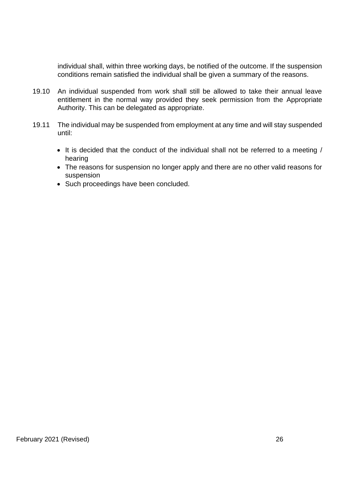individual shall, within three working days, be notified of the outcome. If the suspension conditions remain satisfied the individual shall be given a summary of the reasons.

- 19.10 An individual suspended from work shall still be allowed to take their annual leave entitlement in the normal way provided they seek permission from the Appropriate Authority. This can be delegated as appropriate.
- 19.11 The individual may be suspended from employment at any time and will stay suspended until:
	- It is decided that the conduct of the individual shall not be referred to a meeting / hearing
	- The reasons for suspension no longer apply and there are no other valid reasons for suspension
	- Such proceedings have been concluded.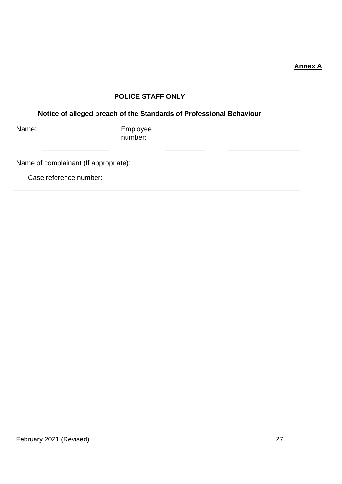#### **Annex A**

# **POLICE STAFF ONLY**

# **Notice of alleged breach of the Standards of Professional Behaviour**

Name: **Name:** Employee number:

Name of complainant (If appropriate):

Case reference number: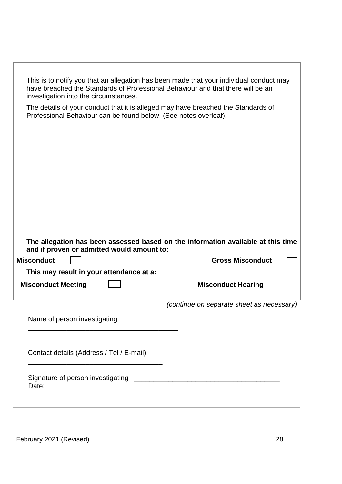| This is to notify you that an allegation has been made that your individual conduct may<br>have breached the Standards of Professional Behaviour and that there will be an<br>investigation into the circumstances. |                                           |  |  |
|---------------------------------------------------------------------------------------------------------------------------------------------------------------------------------------------------------------------|-------------------------------------------|--|--|
| The details of your conduct that it is alleged may have breached the Standards of<br>Professional Behaviour can be found below. (See notes overleaf).                                                               |                                           |  |  |
|                                                                                                                                                                                                                     |                                           |  |  |
|                                                                                                                                                                                                                     |                                           |  |  |
|                                                                                                                                                                                                                     |                                           |  |  |
|                                                                                                                                                                                                                     |                                           |  |  |
|                                                                                                                                                                                                                     |                                           |  |  |
|                                                                                                                                                                                                                     |                                           |  |  |
|                                                                                                                                                                                                                     |                                           |  |  |
| The allegation has been assessed based on the information available at this time<br>and if proven or admitted would amount to:                                                                                      |                                           |  |  |
| <b>Misconduct</b>                                                                                                                                                                                                   | <b>Gross Misconduct</b>                   |  |  |
| This may result in your attendance at a:                                                                                                                                                                            |                                           |  |  |
| <b>Misconduct Meeting</b>                                                                                                                                                                                           | <b>Misconduct Hearing</b>                 |  |  |
|                                                                                                                                                                                                                     | (continue on separate sheet as necessary) |  |  |
| Name of person investigating                                                                                                                                                                                        |                                           |  |  |
|                                                                                                                                                                                                                     |                                           |  |  |
| Contact details (Address / Tel / E-mail)                                                                                                                                                                            |                                           |  |  |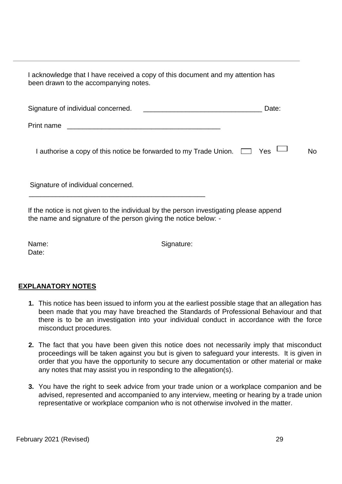I acknowledge that I have received a copy of this document and my attention has been drawn to the accompanying notes.

| Signature of individual concerned.<br><u> 1980 - Johann Stein, fransk politik (</u> | Date: |           |
|-------------------------------------------------------------------------------------|-------|-----------|
| Print name                                                                          |       |           |
| I authorise a copy of this notice be forwarded to my Trade Union. $\Box$ Yes $\Box$ |       | <b>No</b> |
| Signature of individual concerned.                                                  |       |           |

If the notice is not given to the individual by the person investigating please append the name and signature of the person giving the notice below: -

\_\_\_\_\_\_\_\_\_\_\_\_\_\_\_\_\_\_\_\_\_\_\_\_\_\_\_\_\_\_\_\_\_\_\_\_\_\_\_\_\_\_\_\_\_\_

Date:

Name: Signature:

## **EXPLANATORY NOTES**

- **1.** This notice has been issued to inform you at the earliest possible stage that an allegation has been made that you may have breached the Standards of Professional Behaviour and that there is to be an investigation into your individual conduct in accordance with the force misconduct procedures.
- **2.** The fact that you have been given this notice does not necessarily imply that misconduct proceedings will be taken against you but is given to safeguard your interests. It is given in order that you have the opportunity to secure any documentation or other material or make any notes that may assist you in responding to the allegation(s).
- **3.** You have the right to seek advice from your trade union or a workplace companion and be advised, represented and accompanied to any interview, meeting or hearing by a trade union representative or workplace companion who is not otherwise involved in the matter.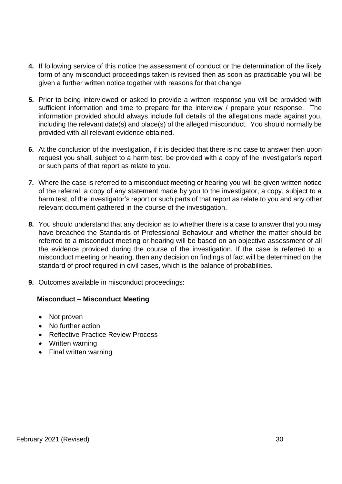- **4.** If following service of this notice the assessment of conduct or the determination of the likely form of any misconduct proceedings taken is revised then as soon as practicable you will be given a further written notice together with reasons for that change.
- **5.** Prior to being interviewed or asked to provide a written response you will be provided with sufficient information and time to prepare for the interview / prepare your response. The information provided should always include full details of the allegations made against you, including the relevant date(s) and place(s) of the alleged misconduct. You should normally be provided with all relevant evidence obtained.
- **6.** At the conclusion of the investigation, if it is decided that there is no case to answer then upon request you shall, subject to a harm test, be provided with a copy of the investigator's report or such parts of that report as relate to you.
- **7.** Where the case is referred to a misconduct meeting or hearing you will be given written notice of the referral, a copy of any statement made by you to the investigator, a copy, subject to a harm test, of the investigator's report or such parts of that report as relate to you and any other relevant document gathered in the course of the investigation.
- **8.** You should understand that any decision as to whether there is a case to answer that you may have breached the Standards of Professional Behaviour and whether the matter should be referred to a misconduct meeting or hearing will be based on an objective assessment of all the evidence provided during the course of the investigation. If the case is referred to a misconduct meeting or hearing, then any decision on findings of fact will be determined on the standard of proof required in civil cases, which is the balance of probabilities.
- **9.** Outcomes available in misconduct proceedings:

## **Misconduct – Misconduct Meeting**

- Not proven
- No further action
- Reflective Practice Review Process
- Written warning
- Final written warning